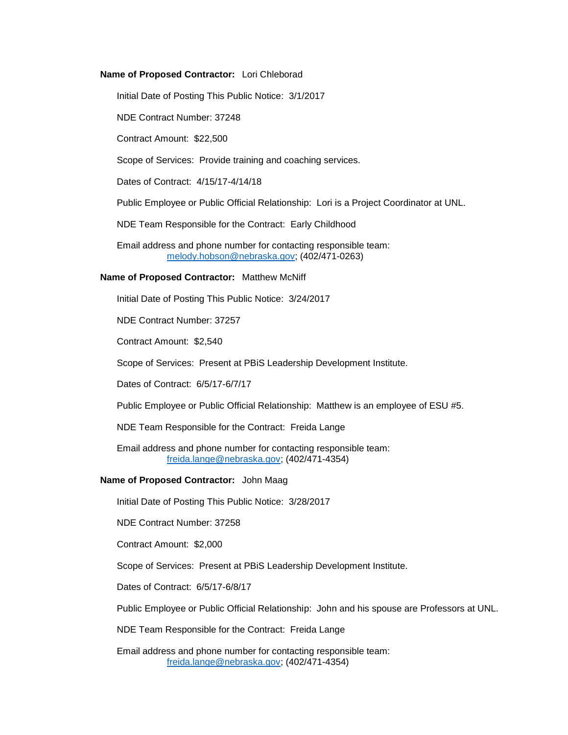## **Name of Proposed Contractor:** Lori Chleborad

Initial Date of Posting This Public Notice: 3/1/2017

NDE Contract Number: 37248

Contract Amount: \$22,500

Scope of Services: Provide training and coaching services.

Dates of Contract: 4/15/17-4/14/18

Public Employee or Public Official Relationship: Lori is a Project Coordinator at UNL.

NDE Team Responsible for the Contract: Early Childhood

Email address and phone number for contacting responsible team: [melody.hobson@nebraska.gov;](mailto:melody.hobson@nebraska.gov) (402/471-0263)

## **Name of Proposed Contractor:** Matthew McNiff

Initial Date of Posting This Public Notice: 3/24/2017

NDE Contract Number: 37257

Contract Amount: \$2,540

Scope of Services: Present at PBiS Leadership Development Institute.

Dates of Contract: 6/5/17-6/7/17

Public Employee or Public Official Relationship: Matthew is an employee of ESU #5.

NDE Team Responsible for the Contract: Freida Lange

Email address and phone number for contacting responsible team: [freida.lange@nebraska.gov;](mailto:freida.lange@nebraska.gov) (402/471-4354)

## **Name of Proposed Contractor:** John Maag

Initial Date of Posting This Public Notice: 3/28/2017

NDE Contract Number: 37258

Contract Amount: \$2,000

Scope of Services: Present at PBiS Leadership Development Institute.

Dates of Contract: 6/5/17-6/8/17

Public Employee or Public Official Relationship: John and his spouse are Professors at UNL.

NDE Team Responsible for the Contract: Freida Lange

Email address and phone number for contacting responsible team: [freida.lange@nebraska.gov;](mailto:freida.lange@nebraska.gov) (402/471-4354)